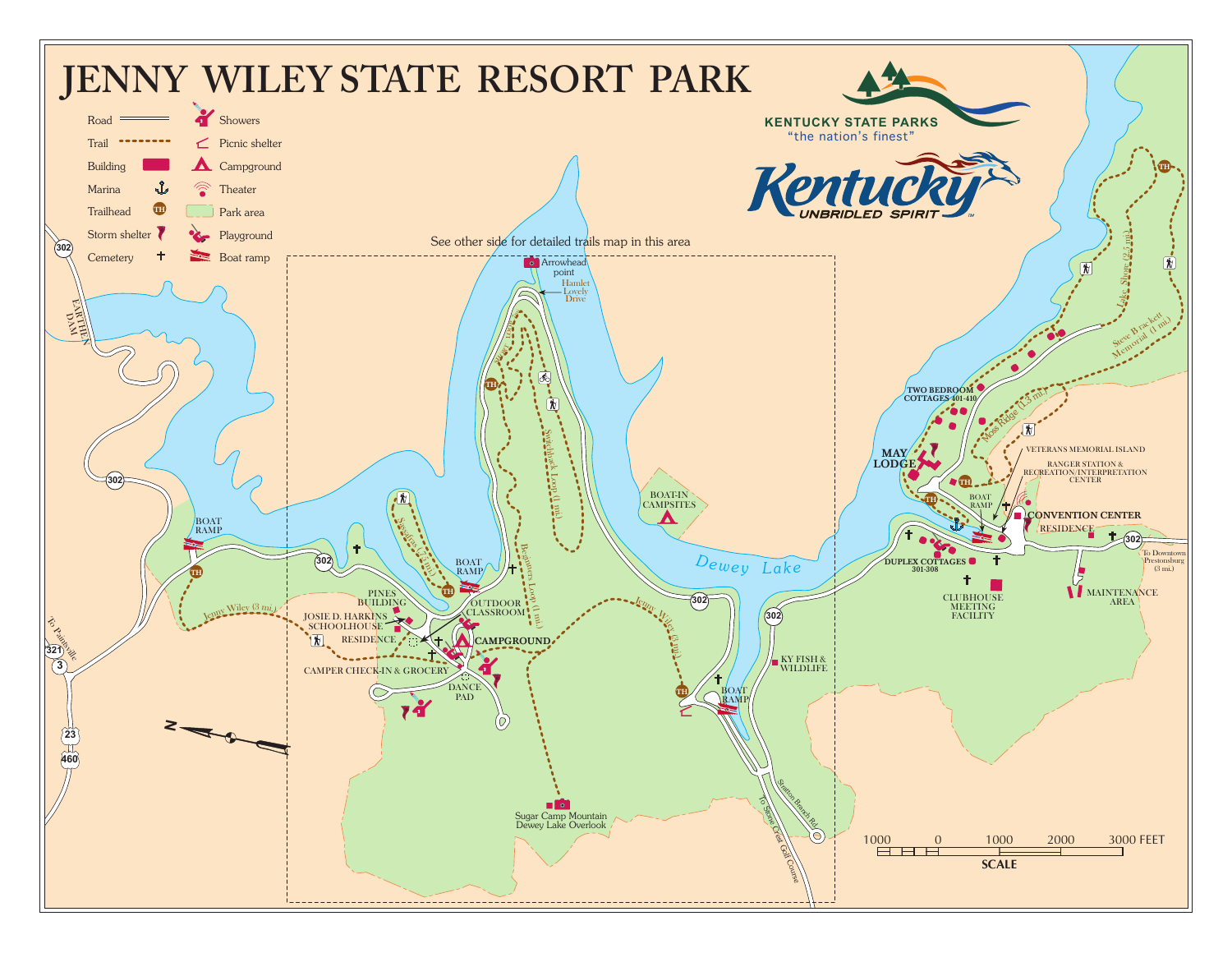